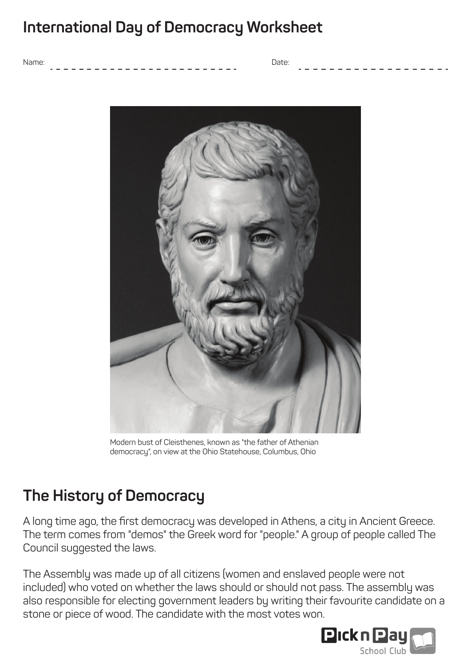## **International Day of Democracy Worksheet**

Name: Date:



Modern bust of Cleisthenes, known as "the father of Athenian democracy", on view at the Ohio Statehouse, Columbus, Ohio

# **The History of Democracy**

A long time ago, the first democracy was developed in Athens, a city in Ancient Greece. The term comes from "demos" the Greek word for "people." A group of people called The Council suggested the laws.

The Assembly was made up of all citizens (women and enslaved people were not included) who voted on whether the laws should or should not pass. The assembly was also responsible for electing government leaders by writing their favourite candidate on a stone or piece of wood. The candidate with the most votes won.

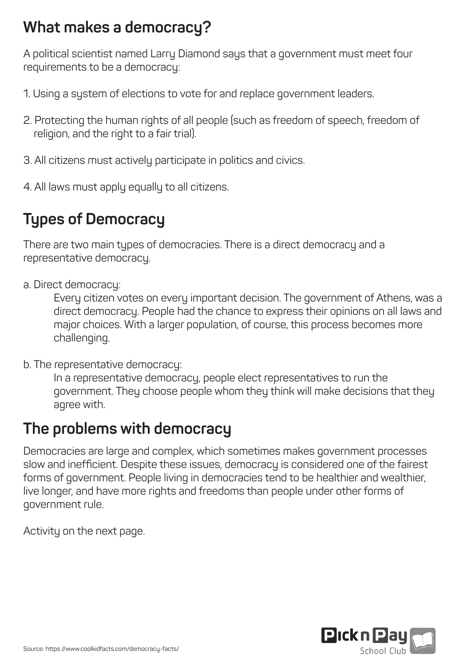## **What makes a democracy?**

A political scientist named Larry Diamond says that a government must meet four requirements to be a democracy:

- 1. Using a system of elections to vote for and replace government leaders.
- 2. Protecting the human rights of all people (such as freedom of speech, freedom of religion, and the right to a fair trial).
- 3. All citizens must actively participate in politics and civics.
- 4. All laws must apply equally to all citizens.

# **Types of Democracy**

There are two main types of democracies. There is a direct democracy and a representative democracy.

a. Direct democracy:

 Every citizen votes on every important decision. The government of Athens, was a direct democracy. People had the chance to express their opinions on all laws and major choices. With a larger population, of course, this process becomes more challenging.

b. The representative democracy:

 In a representative democracy, people elect representatives to run the government. They choose people whom they think will make decisions that they agree with.

### **The problems with democracy**

Democracies are large and complex, which sometimes makes government processes slow and inefficient. Despite these issues, democracy is considered one of the fairest forms of government. People living in democracies tend to be healthier and wealthier, live longer, and have more rights and freedoms than people under other forms of government rule.

Activity on the next page.

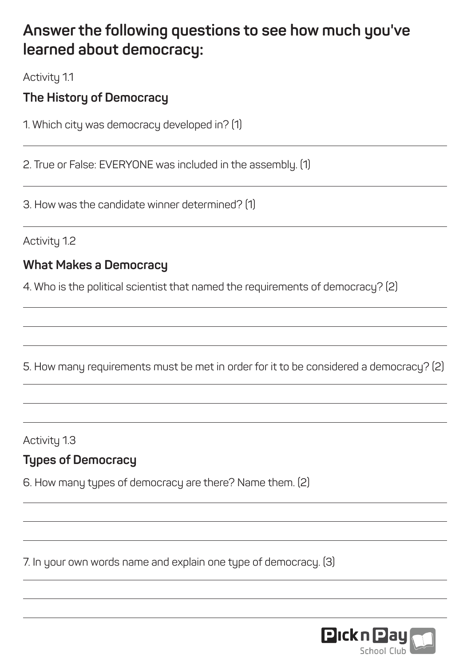### **Answer the following questions to see how much you've learned about democracy:**

Activity 1.1

#### **The History of Democracy**

1. Which city was democracy developed in? (1)

2. True or False: EVERYONE was included in the assembly. (1)

3. How was the candidate winner determined? (1)

Activity 1.2

#### **What Makes a Democracy**

4. Who is the political scientist that named the requirements of democracy? (2)

5. How many requirements must be met in order for it to be considered a democracy? (2)

Activity 1.3

#### **Types of Democracy**

6. How many types of democracy are there? Name them. (2)

7. In your own words name and explain one type of democracy. (3)

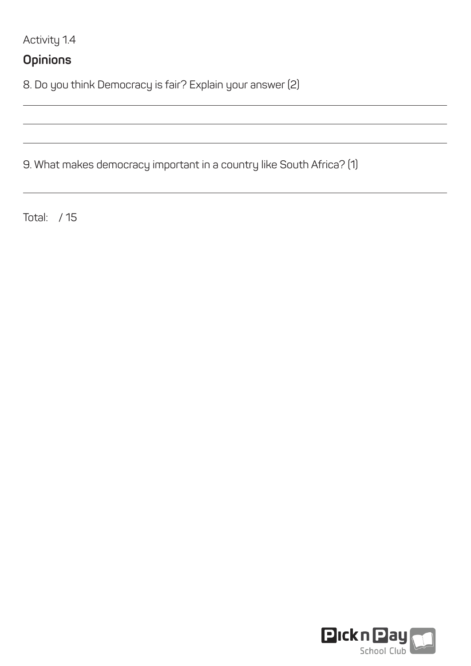Activity 1.4

#### **Opinions**

8. Do you think Democracy is fair? Explain your answer (2)

9. What makes democracy important in a country like South Africa? (1)

Total: / 15